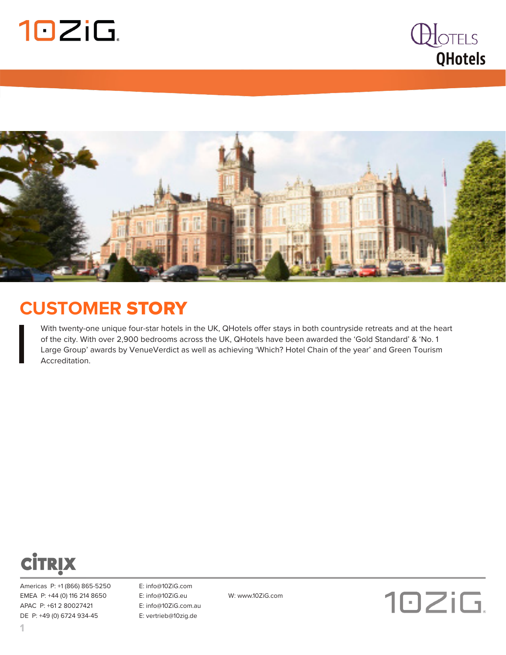





#### **CUSTOMER** STORY

With twenty-one unique four-star hotels in the UK, QHotels offer stays in both countryside retreats and at the heart of the city. With over 2,900 bedrooms across the UK, QHotels have been awarded the 'Gold Standard' & 'No. 1 Large Group' awards by VenueVerdict as well as achieving 'Which? Hotel Chain of the year' and Green Tourism Accreditation.



Americas P: +1 (866) 865-5250 E: info@10ZiG.com EMEA P: +44 (0) 116 214 8650 E: info@10ZiG.eu W: www.10ZiG.com APAC P: +61 2 80027421 E: info@10ZiG.com.au DE P: +49 (0) 6724 934-45 E: vertrieb@10zig.de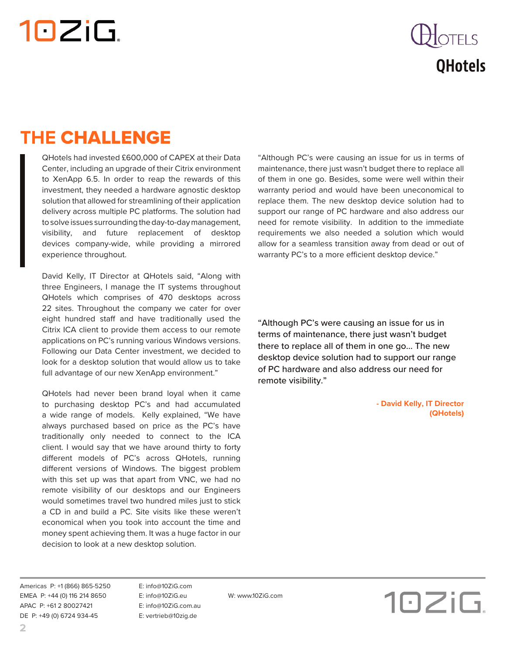# 10ZiG.

### **OTELS QHotels**

### **THE** CHALLENGE

QHotels had invested £600,000 of CAPEX at their Data Center, including an upgrade of their Citrix environment to XenApp 6.5. In order to reap the rewards of this investment, they needed a hardware agnostic desktop solution that allowed for streamlining of their application delivery across multiple PC platforms. The solution had to solve issues surrounding the day-to-day management, visibility, and future replacement of desktop devices company-wide, while providing a mirrored experience throughout.

David Kelly, IT Director at QHotels said, "Along with three Engineers, I manage the IT systems throughout QHotels which comprises of 470 desktops across 22 sites. Throughout the company we cater for over eight hundred staff and have traditionally used the Citrix ICA client to provide them access to our remote applications on PC's running various Windows versions. Following our Data Center investment, we decided to look for a desktop solution that would allow us to take full advantage of our new XenApp environment."

QHotels had never been brand loyal when it came to purchasing desktop PC's and had accumulated a wide range of models. Kelly explained, "We have always purchased based on price as the PC's have traditionally only needed to connect to the ICA client. I would say that we have around thirty to forty different models of PC's across QHotels, running different versions of Windows. The biggest problem with this set up was that apart from VNC, we had no remote visibility of our desktops and our Engineers would sometimes travel two hundred miles just to stick a CD in and build a PC. Site visits like these weren't economical when you took into account the time and money spent achieving them. It was a huge factor in our decision to look at a new desktop solution.

"Although PC's were causing an issue for us in terms of maintenance, there just wasn't budget there to replace all of them in one go. Besides, some were well within their warranty period and would have been uneconomical to replace them. The new desktop device solution had to support our range of PC hardware and also address our need for remote visibility. In addition to the immediate requirements we also needed a solution which would allow for a seamless transition away from dead or out of warranty PC's to a more efficient desktop device."

"Although PC's were causing an issue for us in terms of maintenance, there just wasn't budget there to replace all of them in one go... The new desktop device solution had to support our range of PC hardware and also address our need for remote visibility."

> **- David Kelly, IT Director (QHotels)**

Americas P: +1 (866) 865-5250 E: info@10ZiG.com EMEA P: +44 (0) 116 214 8650 E: info@10ZiG.eu W: www.10ZiG.com APAC P: +61 2 80027421 E: info@10ZiG.com.au DE P: +49 (0) 6724 934-45 E: vertrieb@10zig.de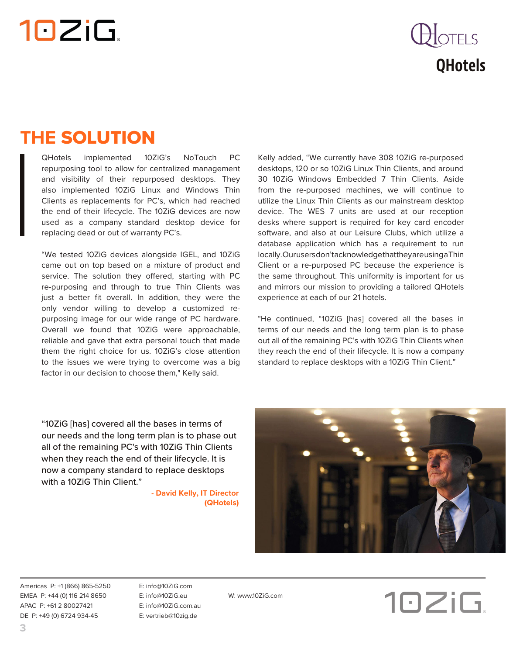## 10ZiG.

### $\bigcup$ OTELS **QHotels**

#### **THE** SOLUTION

QHotels implemented 10ZiG's NoTouch PC repurposing tool to allow for centralized management and visibility of their repurposed desktops. They also implemented 10ZiG Linux and Windows Thin Clients as replacements for PC's, which had reached the end of their lifecycle. The 10ZiG devices are now used as a company standard desktop device for replacing dead or out of warranty PC's.

"We tested 10ZiG devices alongside IGEL, and 10ZiG came out on top based on a mixture of product and service. The solution they offered, starting with PC re-purposing and through to true Thin Clients was just a better fit overall. In addition, they were the only vendor willing to develop a customized repurposing image for our wide range of PC hardware. Overall we found that 10ZiG were approachable, reliable and gave that extra personal touch that made them the right choice for us. 10ZiG's close attention to the issues we were trying to overcome was a big factor in our decision to choose them," Kelly said.

Kelly added, "We currently have 308 10ZiG re-purposed desktops, 120 or so 10ZiG Linux Thin Clients, and around 30 10ZiG Windows Embedded 7 Thin Clients. Aside from the re-purposed machines, we will continue to utilize the Linux Thin Clients as our mainstream desktop device. The WES 7 units are used at our reception desks where support is required for key card encoder software, and also at our Leisure Clubs, which utilize a database application which has a requirement to run locally. Our users don't acknowledge that they are using a Thin Client or a re-purposed PC because the experience is the same throughout. This uniformity is important for us and mirrors our mission to providing a tailored QHotels experience at each of our 21 hotels.

"He continued, "10ZiG [has] covered all the bases in terms of our needs and the long term plan is to phase out all of the remaining PC's with 10ZiG Thin Clients when they reach the end of their lifecycle. It is now a company standard to replace desktops with a 10ZiG Thin Client."

"10ZiG [has] covered all the bases in terms of our needs and the long term plan is to phase out all of the remaining PC's with 10ZiG Thin Clients when they reach the end of their lifecycle. It is now a company standard to replace desktops with a 10ZiG Thin Client."

> **- David Kelly, IT Director (QHotels)**



Americas P: +1 (866) 865-5250 E: info@10ZiG.com EMEA P: +44 (0) 116 214 8650 E: info@10ZiG.eu W: www.10ZiG.com APAC P: +61 2 80027421 E: info@10ZiG.com.au DE P: +49 (0) 6724 934-45 E: vertrieb@10zig.de